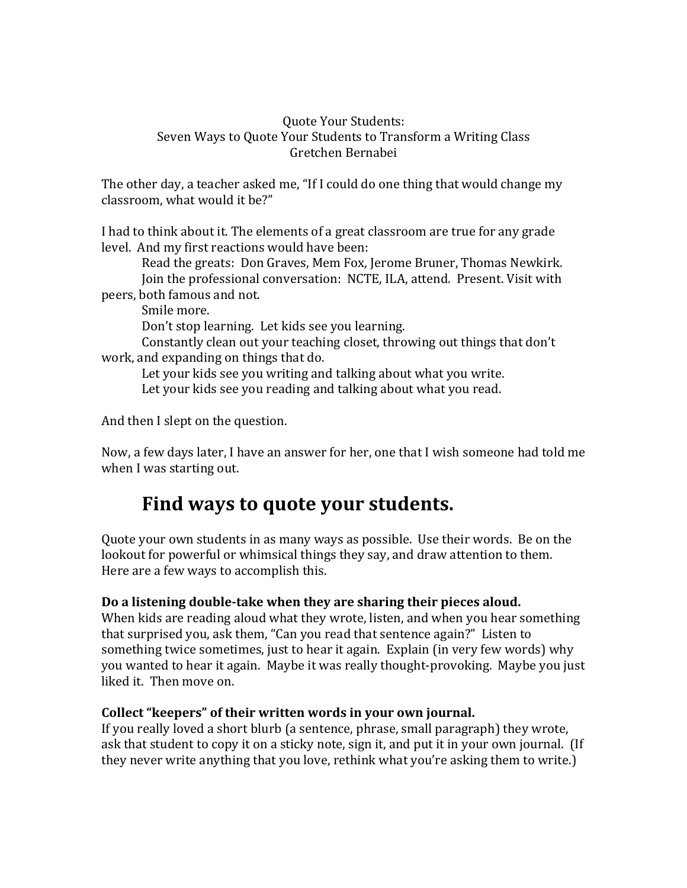#### **Quote Your Students:** Seven Ways to Quote Your Students to Transform a Writing Class Gretchen Bernabei

The other day, a teacher asked me, "If I could do one thing that would change my classroom, what would it be?"

I had to think about it. The elements of a great classroom are true for any grade level. And my first reactions would have been:

Read the greats: Don Graves, Mem Fox, Jerome Bruner, Thomas Newkirk. Join the professional conversation: NCTE, ILA, attend. Present. Visit with peers, both famous and not.

Smile more.

Don't stop learning. Let kids see you learning.

Constantly clean out your teaching closet, throwing out things that don't work, and expanding on things that do.

Let your kids see you writing and talking about what you write. Let your kids see you reading and talking about what you read.

And then I slept on the question.

Now, a few days later, I have an answer for her, one that I wish someone had told me when I was starting out.

# Find ways to quote your students.

Quote your own students in as many ways as possible. Use their words. Be on the lookout for powerful or whimsical things they say, and draw attention to them. Here are a few ways to accomplish this.

## Do a listening double-take when they are sharing their pieces aloud.

When kids are reading aloud what they wrote, listen, and when you hear something that surprised you, ask them, "Can you read that sentence again?" Listen to something twice sometimes, just to hear it again. Explain (in very few words) why you wanted to hear it again. Maybe it was really thought-provoking. Maybe you just liked it. Then move on.

## Collect "keepers" of their written words in your own journal.

If you really loved a short blurb (a sentence, phrase, small paragraph) they wrote, ask that student to copy it on a sticky note, sign it, and put it in your own journal. (If they never write anything that you love, rethink what you're asking them to write.)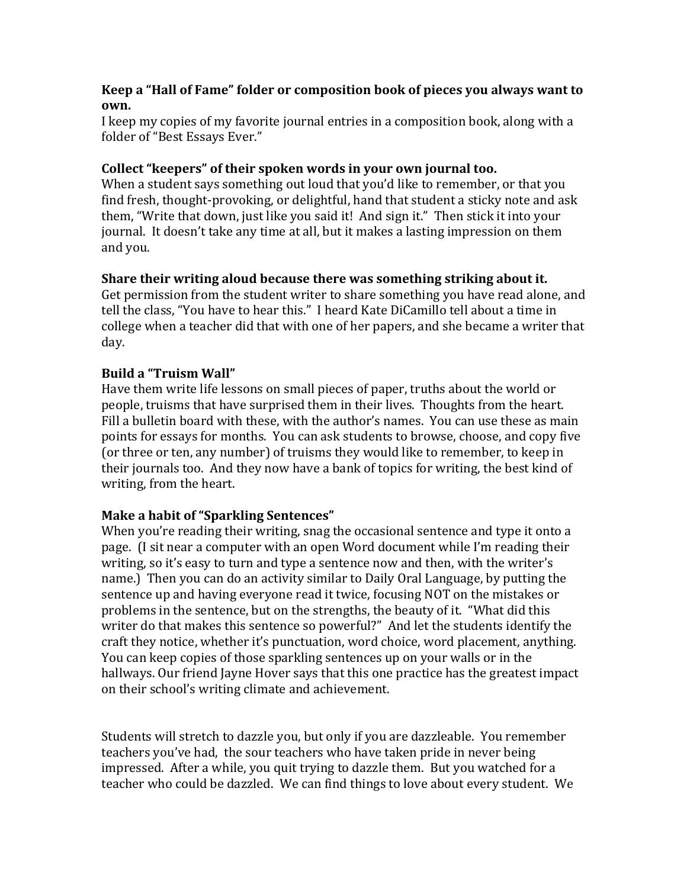#### **Keep a "Hall of Fame" folder or composition book of pieces you always want to own.**

I keep my copies of my favorite journal entries in a composition book, along with a folder of "Best Essays Ever."

### Collect "keepers" of their spoken words in your own journal too.

When a student says something out loud that you'd like to remember, or that you find fresh, thought-provoking, or delightful, hand that student a sticky note and ask them, "Write that down, just like you said it! And sign it." Then stick it into your journal. It doesn't take any time at all, but it makes a lasting impression on them and you.

### **Share their writing aloud because there was something striking about it.**

Get permission from the student writer to share something you have read alone, and tell the class, "You have to hear this." I heard Kate DiCamillo tell about a time in college when a teacher did that with one of her papers, and she became a writer that day.

### **Build a "Truism Wall"**

Have them write life lessons on small pieces of paper, truths about the world or people, truisms that have surprised them in their lives. Thoughts from the heart. Fill a bulletin board with these, with the author's names. You can use these as main points for essays for months. You can ask students to browse, choose, and copy five (or three or ten, any number) of truisms they would like to remember, to keep in their journals too. And they now have a bank of topics for writing, the best kind of writing, from the heart.

## **Make a habit of "Sparkling Sentences"**

When you're reading their writing, snag the occasional sentence and type it onto a page. (I sit near a computer with an open Word document while I'm reading their writing, so it's easy to turn and type a sentence now and then, with the writer's name.) Then you can do an activity similar to Daily Oral Language, by putting the sentence up and having everyone read it twice, focusing NOT on the mistakes or problems in the sentence, but on the strengths, the beauty of it. "What did this writer do that makes this sentence so powerful?" And let the students identify the craft they notice, whether it's punctuation, word choice, word placement, anything. You can keep copies of those sparkling sentences up on your walls or in the hallways. Our friend Jayne Hover says that this one practice has the greatest impact on their school's writing climate and achievement.

Students will stretch to dazzle you, but only if you are dazzleable. You remember teachers you've had, the sour teachers who have taken pride in never being impressed. After a while, you quit trying to dazzle them. But you watched for a teacher who could be dazzled. We can find things to love about every student. We